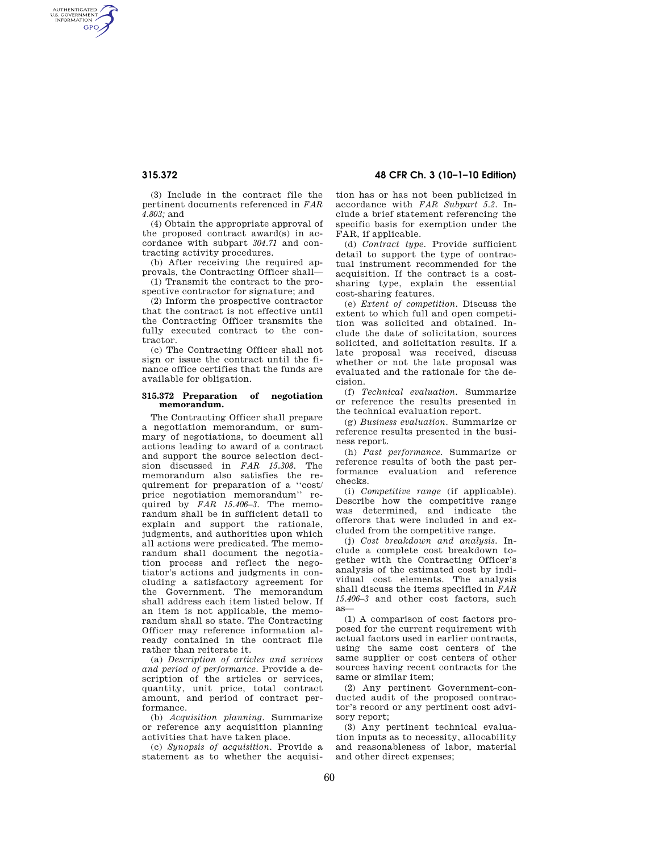AUTHENTICATED<br>U.S. GOVERNMENT<br>INFORMATION **GPO** 

**315.372 48 CFR Ch. 3 (10–1–10 Edition)** 

(3) Include in the contract file the pertinent documents referenced in *FAR 4.803;* and

(4) Obtain the appropriate approval of the proposed contract award(s) in accordance with subpart *304.71* and contracting activity procedures.

(b) After receiving the required approvals, the Contracting Officer shall—

(1) Transmit the contract to the prospective contractor for signature; and

(2) Inform the prospective contractor that the contract is not effective until the Contracting Officer transmits the fully executed contract to the contractor.

(c) The Contracting Officer shall not sign or issue the contract until the finance office certifies that the funds are available for obligation.

#### **315.372 Preparation of negotiation memorandum.**

The Contracting Officer shall prepare a negotiation memorandum, or summary of negotiations, to document all actions leading to award of a contract and support the source selection decision discussed in *FAR 15.308.* The memorandum also satisfies the requirement for preparation of a ''cost/ price negotiation memorandum'' required by *FAR 15.406–3.* The memorandum shall be in sufficient detail to explain and support the rationale, judgments, and authorities upon which all actions were predicated. The memorandum shall document the negotiation process and reflect the negotiator's actions and judgments in concluding a satisfactory agreement for the Government. The memorandum shall address each item listed below. If an item is not applicable, the memorandum shall so state. The Contracting Officer may reference information already contained in the contract file rather than reiterate it.

(a) *Description of articles and services and period of performance.* Provide a description of the articles or services, quantity, unit price, total contract amount, and period of contract performance.

(b) *Acquisition planning.* Summarize or reference any acquisition planning activities that have taken place.

(c) *Synopsis of acquisition.* Provide a statement as to whether the acquisition has or has not been publicized in accordance with *FAR Subpart 5.2.* Include a brief statement referencing the specific basis for exemption under the FAR, if applicable.

(d) *Contract type.* Provide sufficient detail to support the type of contractual instrument recommended for the acquisition. If the contract is a costsharing type, explain the essential cost-sharing features.

(e) *Extent of competition.* Discuss the extent to which full and open competition was solicited and obtained. Include the date of solicitation, sources solicited, and solicitation results. If a late proposal was received, discuss whether or not the late proposal was evaluated and the rationale for the decision.

(f) *Technical evaluation.* Summarize or reference the results presented in the technical evaluation report.

(g) *Business evaluation.* Summarize or reference results presented in the business report.

(h) *Past performance.* Summarize or reference results of both the past performance evaluation and reference checks.

(i) *Competitive range* (if applicable). Describe how the competitive range was determined, and indicate the offerors that were included in and excluded from the competitive range.

(j) *Cost breakdown and analysis.* Include a complete cost breakdown together with the Contracting Officer's analysis of the estimated cost by individual cost elements. The analysis shall discuss the items specified in *FAR 15.406–3* and other cost factors, such as—

(1) A comparison of cost factors proposed for the current requirement with actual factors used in earlier contracts, using the same cost centers of the same supplier or cost centers of other sources having recent contracts for the same or similar item;

(2) Any pertinent Government-conducted audit of the proposed contractor's record or any pertinent cost advisory report;

(3) Any pertinent technical evaluation inputs as to necessity, allocability and reasonableness of labor, material and other direct expenses;